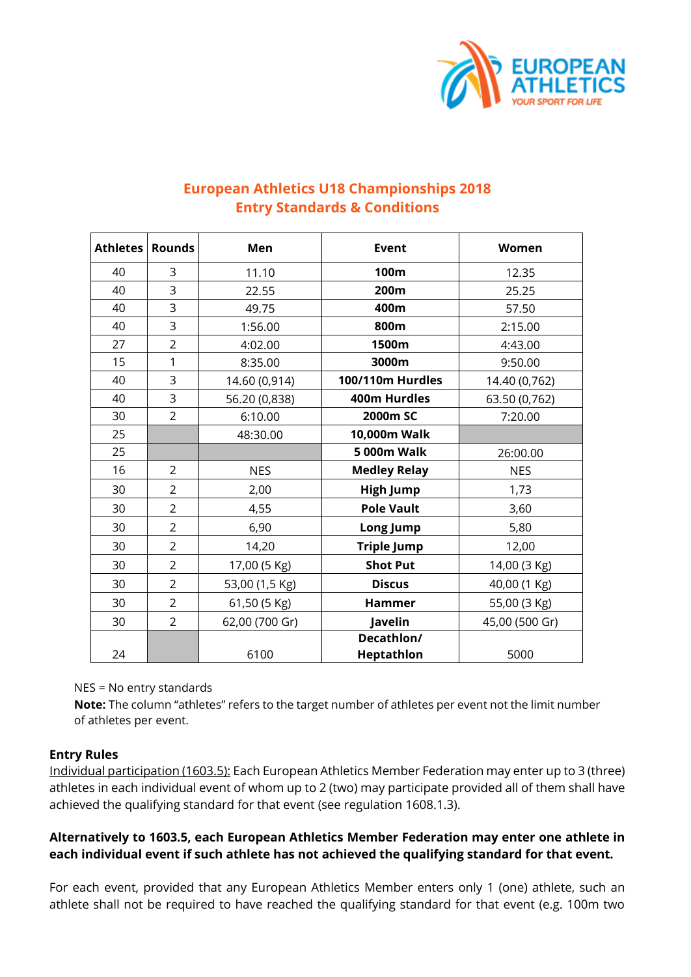

## **European Athletics U18 Championships 2018 Entry Standards & Conditions**

| <b>Athletes</b> | <b>Rounds</b>  | Men            | <b>Event</b>                    | Women          |
|-----------------|----------------|----------------|---------------------------------|----------------|
| 40              | 3              | 11.10          | 100m                            | 12.35          |
| 40              | 3              | 22.55          | 200m                            | 25.25          |
| 40              | 3              | 49.75          | 400m                            | 57.50          |
| 40              | 3              | 1:56.00        | 800m                            | 2:15.00        |
| 27              | $\overline{2}$ | 4:02.00        | 1500m                           | 4:43.00        |
| 15              | 1              | 8:35.00        | 3000m                           | 9:50.00        |
| 40              | 3              | 14.60 (0,914)  | 100/110m Hurdles                | 14.40 (0,762)  |
| 40              | 3              | 56.20 (0,838)  | 400m Hurdles                    | 63.50 (0,762)  |
| 30              | $\overline{2}$ | 6:10.00        | 2000m SC                        | 7:20.00        |
| 25              |                | 48:30.00       | 10,000m Walk                    |                |
| 25              |                |                | <b>5 000m Walk</b>              | 26:00.00       |
| 16              | $\overline{2}$ | <b>NES</b>     | <b>Medley Relay</b>             | <b>NES</b>     |
| 30              | $\overline{2}$ | 2,00           | <b>High Jump</b>                | 1,73           |
| 30              | $\overline{2}$ | 4,55           | <b>Pole Vault</b>               | 3,60           |
| 30              | $\overline{2}$ | 6,90           | Long Jump                       | 5,80           |
| 30              | $\overline{2}$ | 14,20          | <b>Triple Jump</b>              | 12,00          |
| 30              | $\overline{2}$ | 17,00 (5 Kg)   | <b>Shot Put</b>                 | 14,00 (3 Kg)   |
| 30              | $\overline{2}$ | 53,00 (1,5 Kg) | <b>Discus</b>                   | 40,00 (1 Kg)   |
| 30              | $\overline{2}$ | 61,50 (5 Kg)   | <b>Hammer</b>                   | 55,00 (3 Kg)   |
| 30              | $\overline{2}$ | 62,00 (700 Gr) | Javelin                         | 45,00 (500 Gr) |
| 24              |                | 6100           | Decathlon/<br><b>Heptathlon</b> | 5000           |

NES = No entry standards

**Note:** The column "athletes" refers to the target number of athletes per event not the limit number of athletes per event.

## **Entry Rules**

Individual participation (1603.5): Each European Athletics Member Federation may enter up to 3 (three) athletes in each individual event of whom up to 2 (two) may participate provided all of them shall have achieved the qualifying standard for that event (see regulation 1608.1.3).

## **Alternatively to 1603.5, each European Athletics Member Federation may enter one athlete in each individual event if such athlete has not achieved the qualifying standard for that event.**

For each event, provided that any European Athletics Member enters only 1 (one) athlete, such an athlete shall not be required to have reached the qualifying standard for that event (e.g. 100m two